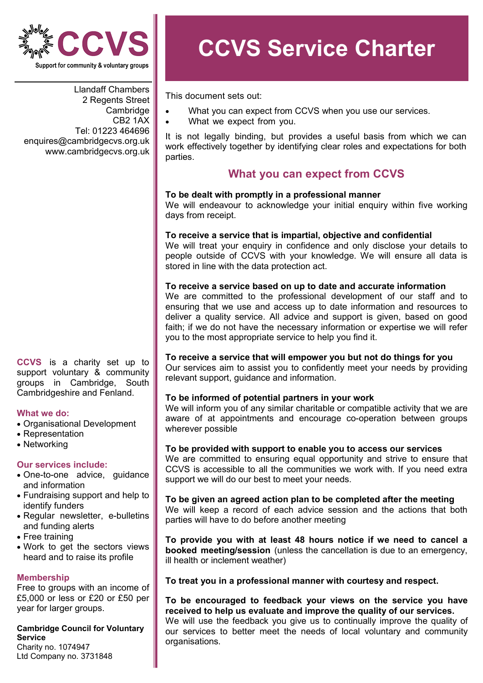

Llandaff Chambers 2 Regents Street Cambridge CB2 1AX Tel: 01223 464696 enquires@cambridgecvs.org.uk www.cambridgecvs.org.uk

**CCVS** is a charity set up to support voluntary & community groups in Cambridge, South Cambridgeshire and Fenland.

### **What we do:**

- Organisational Development
- Representation
- Networking

### **Our services include:**

- One-to-one advice, guidance and information
- Fundraising support and help to identify funders
- Regular newsletter, e-bulletins and funding alerts
- Free training
- Work to get the sectors views heard and to raise its profile

### **Membership**

Free to groups with an income of £5,000 or less or £20 or £50 per year for larger groups.

# **Cambridge Council for Voluntary Service**

Charity no. 1074947 Ltd Company no. 3731848

# **CCVS Service Charter**

This document sets out:

- What you can expect from CCVS when you use our services.
- What we expect from you.

It is not legally binding, but provides a useful basis from which we can work effectively together by identifying clear roles and expectations for both parties.

# **What you can expect from CCVS**

### **To be dealt with promptly in a professional manner**

We will endeavour to acknowledge your initial enguiry within five working days from receipt.

### **To receive a service that is impartial, objective and confidential**

We will treat your enquiry in confidence and only disclose your details to people outside of CCVS with your knowledge. We will ensure all data is stored in line with the data protection act.

### **To receive a service based on up to date and accurate information**

We are committed to the professional development of our staff and to ensuring that we use and access up to date information and resources to deliver a quality service. All advice and support is given, based on good faith; if we do not have the necessary information or expertise we will refer you to the most appropriate service to help you find it.

### **To receive a service that will empower you but not do things for you**

Our services aim to assist you to confidently meet your needs by providing relevant support, guidance and information.

### **To be informed of potential partners in your work**

We will inform you of any similar charitable or compatible activity that we are aware of at appointments and encourage co-operation between groups wherever possible

### **To be provided with support to enable you to access our services**

We are committed to ensuring equal opportunity and strive to ensure that CCVS is accessible to all the communities we work with. If you need extra support we will do our best to meet your needs.

### **To be given an agreed action plan to be completed after the meeting**  We will keep a record of each advice session and the actions that both parties will have to do before another meeting

**To provide you with at least 48 hours notice if we need to cancel a booked meeting/session** (unless the cancellation is due to an emergency, ill health or inclement weather)

### **To treat you in a professional manner with courtesy and respect.**

**To be encouraged to feedback your views on the service you have received to help us evaluate and improve the quality of our services.** We will use the feedback you give us to continually improve the quality of our services to better meet the needs of local voluntary and community organisations.